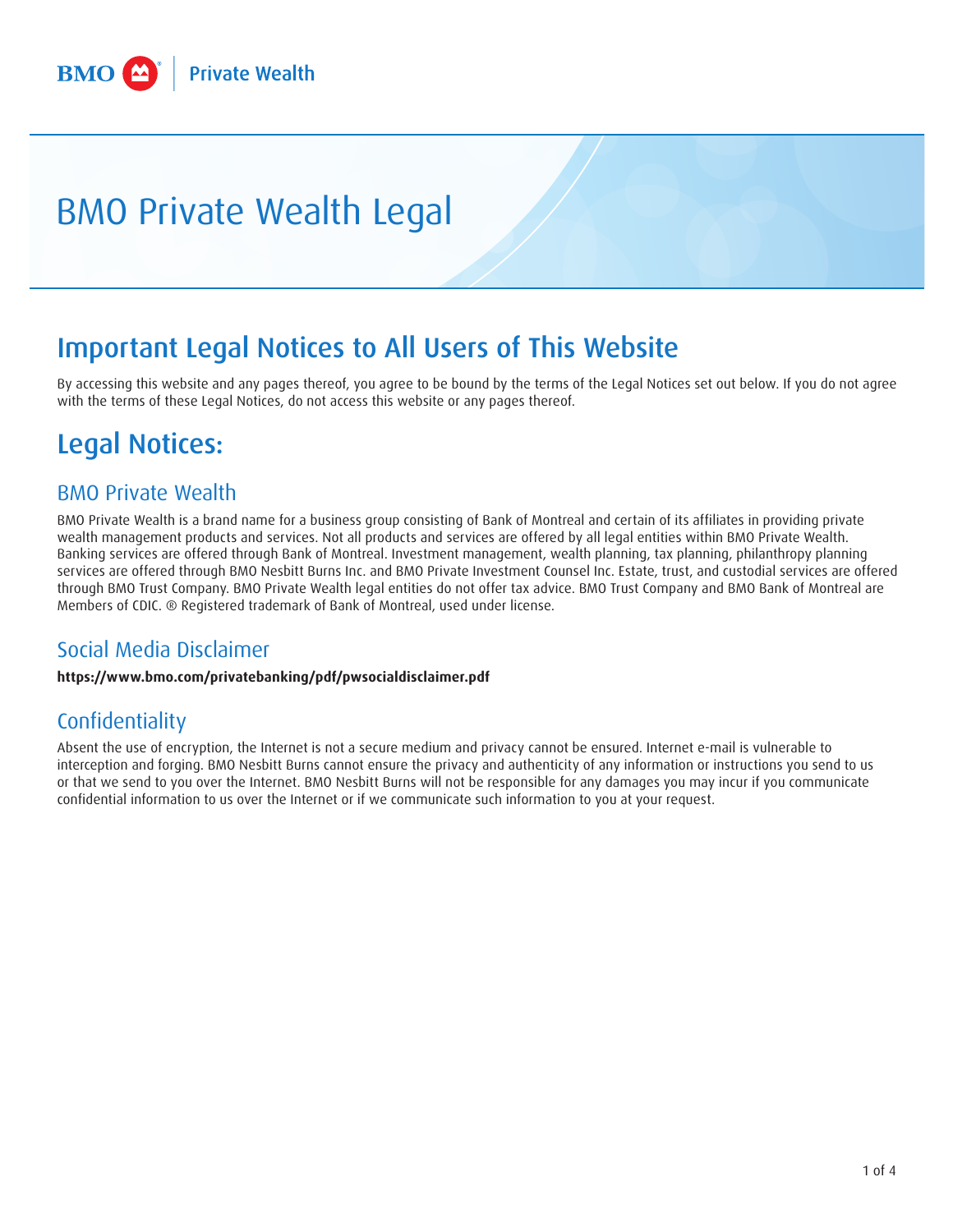# BMO Private Wealth Legal

# Important Legal Notices to All Users of This Website

By accessing this website and any pages thereof, you agree to be bound by the terms of the Legal Notices set out below. If you do not agree with the terms of these Legal Notices, do not access this website or any pages thereof.

# Legal Notices:

#### BMO Private Wealth

BMO Private Wealth is a brand name for a business group consisting of Bank of Montreal and certain of its affiliates in providing private wealth management products and services. Not all products and services are offered by all legal entities within BMO Private Wealth. Banking services are offered through Bank of Montreal. Investment management, wealth planning, tax planning, philanthropy planning services are offered through BMO Nesbitt Burns Inc. and BMO Private Investment Counsel Inc. Estate, trust, and custodial services are offered through BMO Trust Company. BMO Private Wealth legal entities do not offer tax advice. BMO Trust Company and BMO Bank of Montreal are Members of CDIC. ® Registered trademark of Bank of Montreal, used under license.

#### Social Media Disclaimer

**<https://www.bmo.com/privatebanking/pdf/pwsocialdisclaimer.pdf>**

### Confidentiality

Absent the use of encryption, the Internet is not a secure medium and privacy cannot be ensured. Internet e-mail is vulnerable to interception and forging. BMO Nesbitt Burns cannot ensure the privacy and authenticity of any information or instructions you send to us or that we send to you over the Internet. BMO Nesbitt Burns will not be responsible for any damages you may incur if you communicate confidential information to us over the Internet or if we communicate such information to you at your request.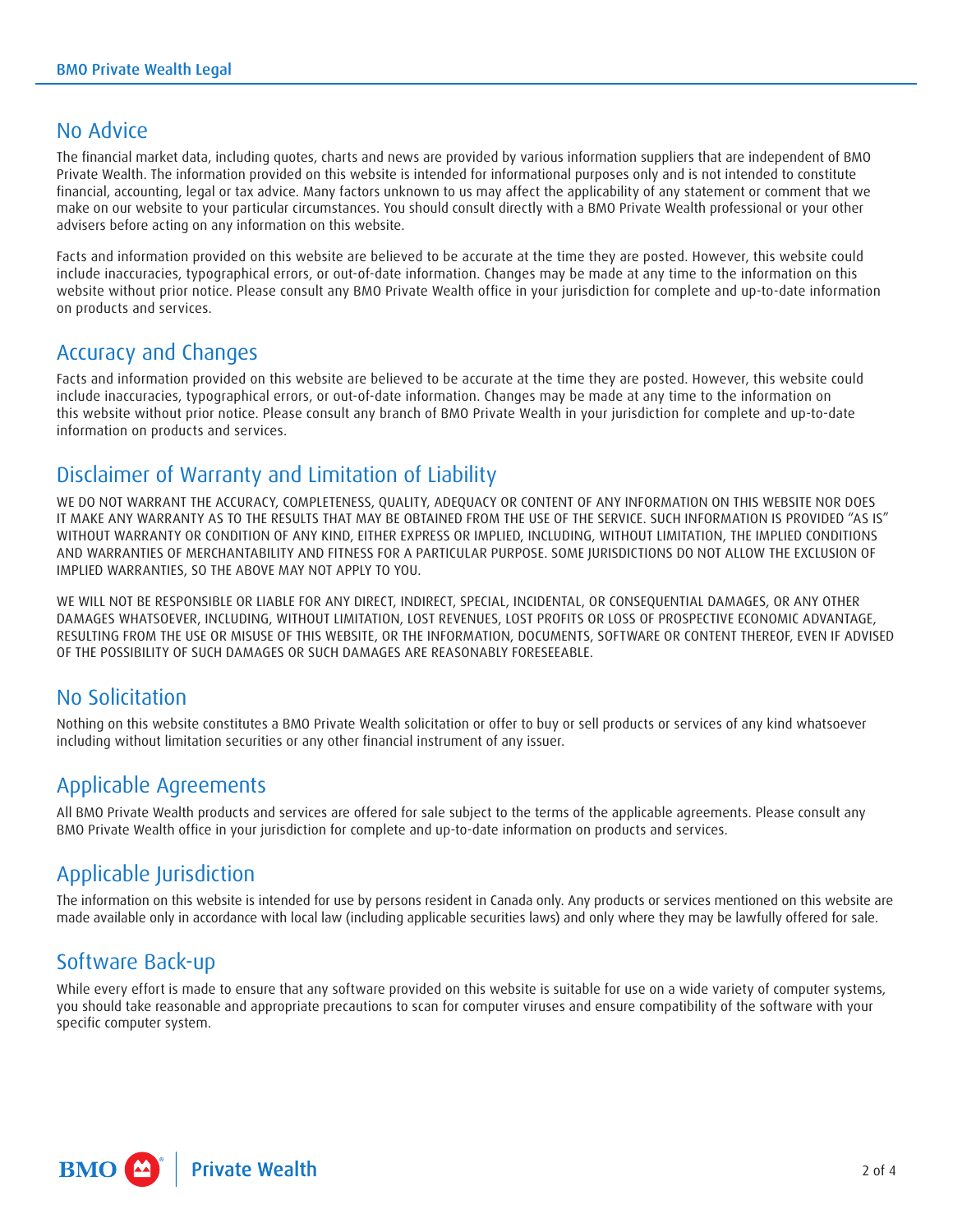#### No Advice

The financial market data, including quotes, charts and news are provided by various information suppliers that are independent of BMO Private Wealth. The information provided on this website is intended for informational purposes only and is not intended to constitute financial, accounting, legal or tax advice. Many factors unknown to us may affect the applicability of any statement or comment that we make on our website to your particular circumstances. You should consult directly with a BMO Private Wealth professional or your other advisers before acting on any information on this website.

Facts and information provided on this website are believed to be accurate at the time they are posted. However, this website could include inaccuracies, typographical errors, or out-of-date information. Changes may be made at any time to the information on this website without prior notice. Please consult any BMO Private Wealth office in your jurisdiction for complete and up-to-date information on products and services.

#### Accuracy and Changes

Facts and information provided on this website are believed to be accurate at the time they are posted. However, this website could include inaccuracies, typographical errors, or out-of-date information. Changes may be made at any time to the information on this website without prior notice. Please consult any branch of BMO Private Wealth in your jurisdiction for complete and up-to-date information on products and services.

#### Disclaimer of Warranty and Limitation of Liability

WE DO NOT WARRANT THE ACCURACY, COMPLETENESS, QUALITY, ADEQUACY OR CONTENT OF ANY INFORMATION ON THIS WEBSITE NOR DOES IT MAKE ANY WARRANTY AS TO THE RESULTS THAT MAY BE OBTAINED FROM THE USE OF THE SERVICE. SUCH INFORMATION IS PROVIDED "AS IS" WITHOUT WARRANTY OR CONDITION OF ANY KIND, EITHER EXPRESS OR IMPLIED, INCLUDING, WITHOUT LIMITATION, THE IMPLIED CONDITIONS AND WARRANTIES OF MERCHANTABILITY AND FITNESS FOR A PARTICULAR PURPOSE. SOME JURISDICTIONS DO NOT ALLOW THE EXCLUSION OF IMPLIED WARRANTIES, SO THE ABOVE MAY NOT APPLY TO YOU.

WE WILL NOT BE RESPONSIBLE OR LIABLE FOR ANY DIRECT, INDIRECT, SPECIAL, INCIDENTAL, OR CONSEQUENTIAL DAMAGES, OR ANY OTHER DAMAGES WHATSOEVER, INCLUDING, WITHOUT LIMITATION, LOST REVENUES, LOST PROFITS OR LOSS OF PROSPECTIVE ECONOMIC ADVANTAGE, RESULTING FROM THE USE OR MISUSE OF THIS WEBSITE, OR THE INFORMATION, DOCUMENTS, SOFTWARE OR CONTENT THEREOF, EVEN IF ADVISED OF THE POSSIBILITY OF SUCH DAMAGES OR SUCH DAMAGES ARE REASONABLY FORESEEABLE.

#### No Solicitation

Nothing on this website constitutes a BMO Private Wealth solicitation or offer to buy or sell products or services of any kind whatsoever including without limitation securities or any other financial instrument of any issuer.

### Applicable Agreements

All BMO Private Wealth products and services are offered for sale subject to the terms of the applicable agreements. Please consult any BMO Private Wealth office in your jurisdiction for complete and up-to-date information on products and services.

### Applicable Jurisdiction

The information on this website is intended for use by persons resident in Canada only. Any products or services mentioned on this website are made available only in accordance with local law (including applicable securities laws) and only where they may be lawfully offered for sale.

#### Software Back-up

While every effort is made to ensure that any software provided on this website is suitable for use on a wide variety of computer systems, you should take reasonable and appropriate precautions to scan for computer viruses and ensure compatibility of the software with your specific computer system.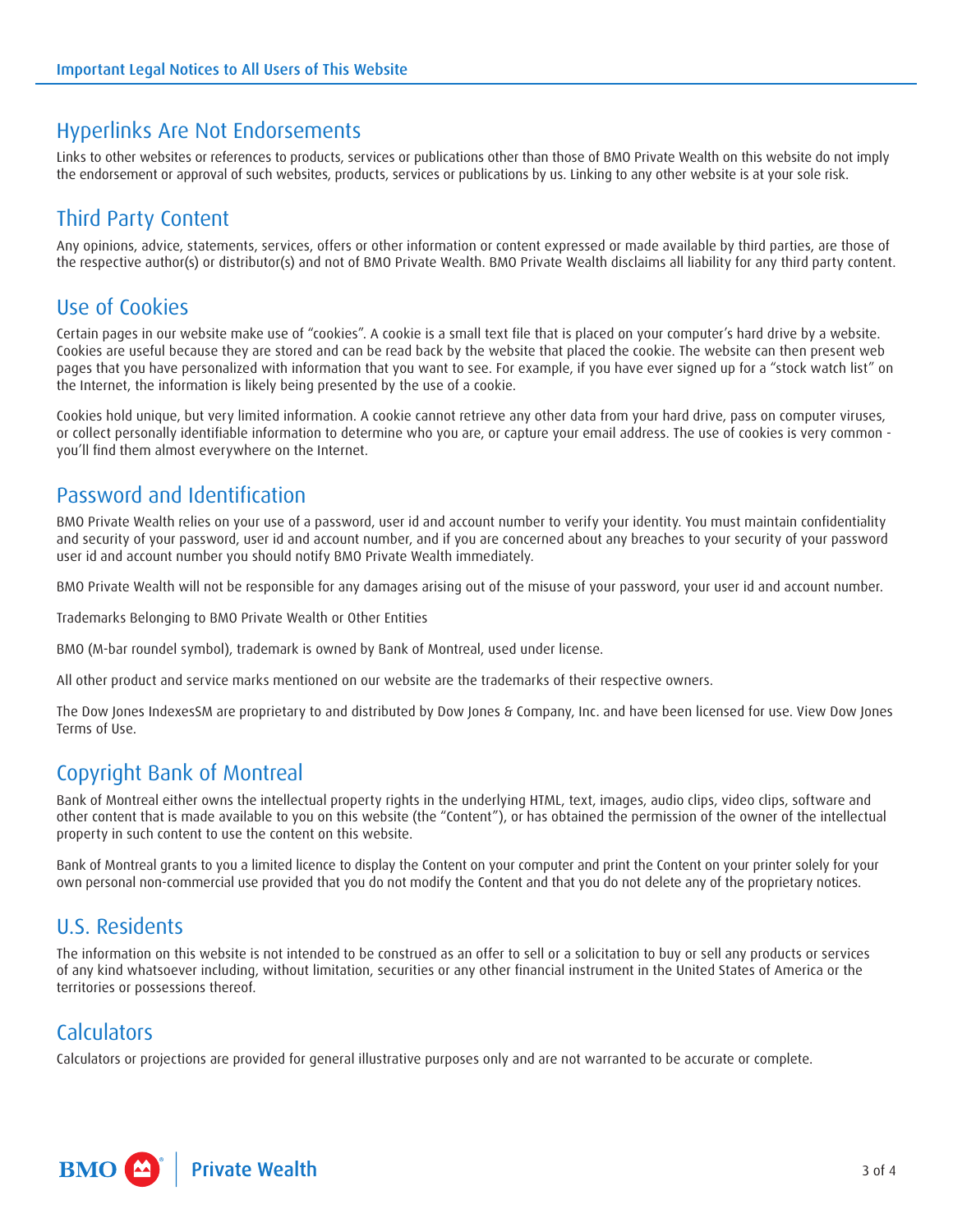#### Hyperlinks Are Not Endorsements

Links to other websites or references to products, services or publications other than those of BMO Private Wealth on this website do not imply the endorsement or approval of such websites, products, services or publications by us. Linking to any other website is at your sole risk.

#### Third Party Content

Any opinions, advice, statements, services, offers or other information or content expressed or made available by third parties, are those of the respective author(s) or distributor(s) and not of BMO Private Wealth. BMO Private Wealth disclaims all liability for any third party content.

#### Use of Cookies

Certain pages in our website make use of "cookies". A cookie is a small text file that is placed on your computer's hard drive by a website. Cookies are useful because they are stored and can be read back by the website that placed the cookie. The website can then present web pages that you have personalized with information that you want to see. For example, if you have ever signed up for a "stock watch list" on the Internet, the information is likely being presented by the use of a cookie.

Cookies hold unique, but very limited information. A cookie cannot retrieve any other data from your hard drive, pass on computer viruses, or collect personally identifiable information to determine who you are, or capture your email address. The use of cookies is very common you'll find them almost everywhere on the Internet.

#### Password and Identification

BMO Private Wealth relies on your use of a password, user id and account number to verify your identity. You must maintain confidentiality and security of your password, user id and account number, and if you are concerned about any breaches to your security of your password user id and account number you should notify BMO Private Wealth immediately.

BMO Private Wealth will not be responsible for any damages arising out of the misuse of your password, your user id and account number.

Trademarks Belonging to BMO Private Wealth or Other Entities

BMO (M-bar roundel symbol), trademark is owned by Bank of Montreal, used under license.

All other product and service marks mentioned on our website are the trademarks of their respective owners.

The Dow Jones IndexesSM are proprietary to and distributed by Dow Jones & Company, Inc. and have been licensed for use. View Dow Jones Terms of Use.

#### Copyright Bank of Montreal

Bank of Montreal either owns the intellectual property rights in the underlying HTML, text, images, audio clips, video clips, software and other content that is made available to you on this website (the "Content"), or has obtained the permission of the owner of the intellectual property in such content to use the content on this website.

Bank of Montreal grants to you a limited licence to display the Content on your computer and print the Content on your printer solely for your own personal non-commercial use provided that you do not modify the Content and that you do not delete any of the proprietary notices.

#### U.S. Residents

The information on this website is not intended to be construed as an offer to sell or a solicitation to buy or sell any products or services of any kind whatsoever including, without limitation, securities or any other financial instrument in the United States of America or the territories or possessions thereof.

#### **Calculators**

Calculators or projections are provided for general illustrative purposes only and are not warranted to be accurate or complete.

**BMO** <sup>2</sup> Private Wealth